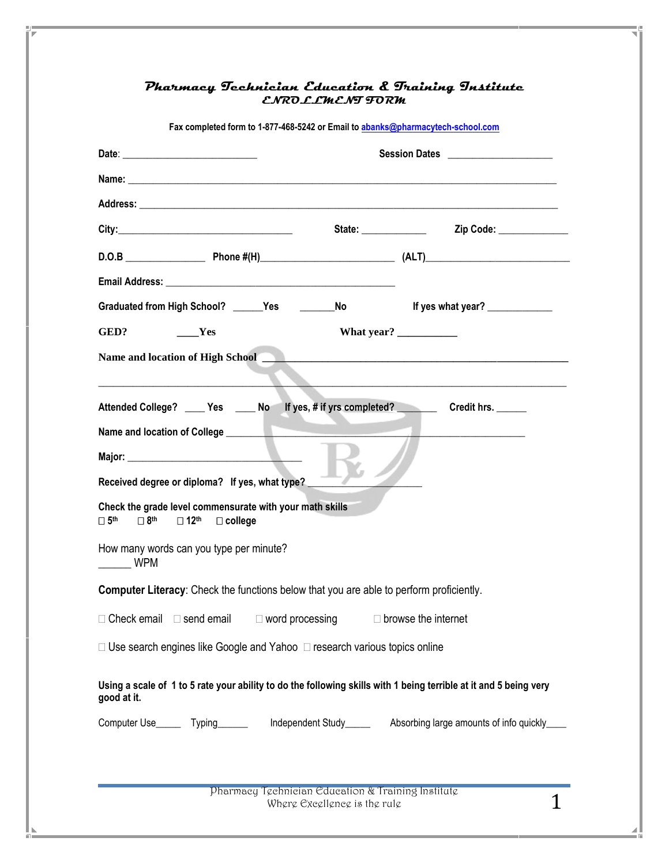| Fax completed form to 1-877-468-5242 or Email to abanks@pharmacytech-school.com                                                                           |                                                    |                                                                                                                                                                                                                                                                                                                                                                                                                                              |  |  |
|-----------------------------------------------------------------------------------------------------------------------------------------------------------|----------------------------------------------------|----------------------------------------------------------------------------------------------------------------------------------------------------------------------------------------------------------------------------------------------------------------------------------------------------------------------------------------------------------------------------------------------------------------------------------------------|--|--|
|                                                                                                                                                           | Session Dates _____________________                |                                                                                                                                                                                                                                                                                                                                                                                                                                              |  |  |
|                                                                                                                                                           |                                                    |                                                                                                                                                                                                                                                                                                                                                                                                                                              |  |  |
|                                                                                                                                                           |                                                    |                                                                                                                                                                                                                                                                                                                                                                                                                                              |  |  |
|                                                                                                                                                           |                                                    |                                                                                                                                                                                                                                                                                                                                                                                                                                              |  |  |
|                                                                                                                                                           |                                                    |                                                                                                                                                                                                                                                                                                                                                                                                                                              |  |  |
|                                                                                                                                                           |                                                    |                                                                                                                                                                                                                                                                                                                                                                                                                                              |  |  |
| Graduated from High School? ______Yes ___________No                                                                                                       |                                                    | If yes what year?                                                                                                                                                                                                                                                                                                                                                                                                                            |  |  |
| GED?<br>$\rule{1em}{0.15mm}$ Yes                                                                                                                          |                                                    | What year? $\frac{1}{\frac{1}{2} \cdot \frac{1}{2} \cdot \frac{1}{2} \cdot \frac{1}{2} \cdot \frac{1}{2} \cdot \frac{1}{2} \cdot \frac{1}{2} \cdot \frac{1}{2} \cdot \frac{1}{2} \cdot \frac{1}{2} \cdot \frac{1}{2} \cdot \frac{1}{2} \cdot \frac{1}{2} \cdot \frac{1}{2} \cdot \frac{1}{2} \cdot \frac{1}{2} \cdot \frac{1}{2} \cdot \frac{1}{2} \cdot \frac{1}{2} \cdot \frac{1}{2} \cdot \frac{1}{2} \cdot \frac{1}{2} \cdot \frac{1}{2$ |  |  |
| Name and location of High School                                                                                                                          |                                                    |                                                                                                                                                                                                                                                                                                                                                                                                                                              |  |  |
|                                                                                                                                                           |                                                    |                                                                                                                                                                                                                                                                                                                                                                                                                                              |  |  |
| Attended College? ____ Yes ____ No lf yes, # if yrs completed? _________ Credit hrs. _____                                                                |                                                    |                                                                                                                                                                                                                                                                                                                                                                                                                                              |  |  |
|                                                                                                                                                           |                                                    |                                                                                                                                                                                                                                                                                                                                                                                                                                              |  |  |
| Major: National Communication of the Major:                                                                                                               |                                                    |                                                                                                                                                                                                                                                                                                                                                                                                                                              |  |  |
| Received degree or diploma? If yes, what type?                                                                                                            |                                                    |                                                                                                                                                                                                                                                                                                                                                                                                                                              |  |  |
| Check the grade level commensurate with your math skills<br>$\Box$ 8 <sup>th</sup> $\Box$ 12 <sup>th</sup><br>$\square$ 5 <sup>th</sup><br>$\Box$ college |                                                    |                                                                                                                                                                                                                                                                                                                                                                                                                                              |  |  |
| How many words can you type per minute?<br><b>WPM</b>                                                                                                     |                                                    |                                                                                                                                                                                                                                                                                                                                                                                                                                              |  |  |
| Computer Literacy: Check the functions below that you are able to perform proficiently.                                                                   |                                                    |                                                                                                                                                                                                                                                                                                                                                                                                                                              |  |  |
| □ Check email<br>$\Box$ send email                                                                                                                        | $\Box$ word processing                             | $\Box$ browse the internet                                                                                                                                                                                                                                                                                                                                                                                                                   |  |  |
| $\Box$ Use search engines like Google and Yahoo $\Box$ research various topics online                                                                     |                                                    |                                                                                                                                                                                                                                                                                                                                                                                                                                              |  |  |
| Using a scale of 1 to 5 rate your ability to do the following skills with 1 being terrible at it and 5 being very<br>good at it.                          |                                                    |                                                                                                                                                                                                                                                                                                                                                                                                                                              |  |  |
| Computer Use________ Typing_______                                                                                                                        |                                                    | Independent Study__________ Absorbing large amounts of info quickly_____                                                                                                                                                                                                                                                                                                                                                                     |  |  |
|                                                                                                                                                           |                                                    |                                                                                                                                                                                                                                                                                                                                                                                                                                              |  |  |
|                                                                                                                                                           |                                                    |                                                                                                                                                                                                                                                                                                                                                                                                                                              |  |  |
|                                                                                                                                                           | Pharmacy Technician Education & Training Institute |                                                                                                                                                                                                                                                                                                                                                                                                                                              |  |  |

## **Pharmacy Technician Education & Training Institute**